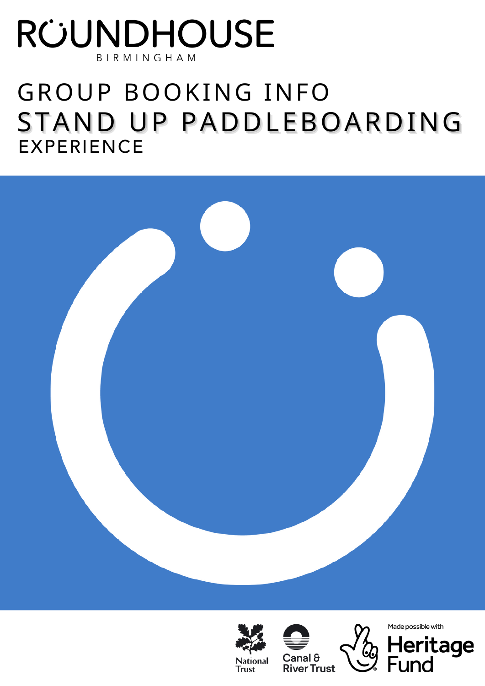# RÜUNDHOUSE BIRMINGHAM

# GROUP BOOKING INFO STAND UP PADDLEBOARDING **EXPERIENCE**









Made possible with

Fund